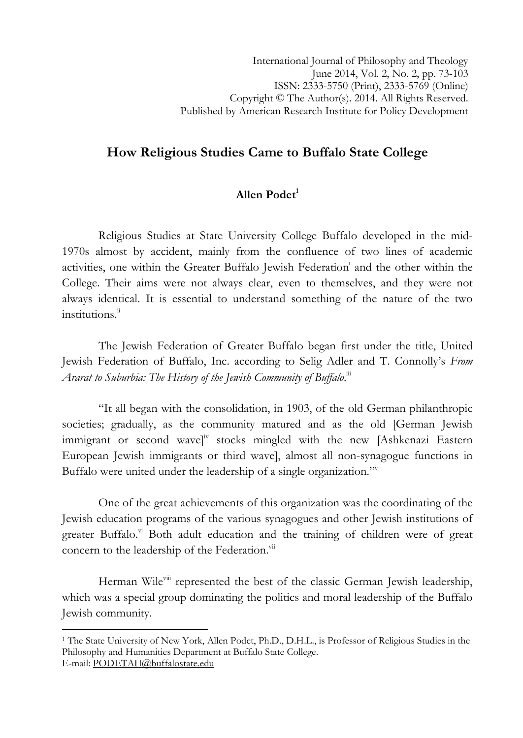# How Religious Studies Came to Buffalo State College

# Allen  $\text{Podet}^1$

Religious Studies at State University College Buffalo developed in the mid-1970s almost by accident, mainly from the confluence of two lines of academic activities, one within the Greater Buffalo Jewish Federation i and the other within the College. Their aims were not always clear, even to themselves, and they were not always identical. It is essential to understand something of the nature of the two institutions.<sup>ii</sup>

The Jewish Federation of Greater Buffalo began first under the title, United Jewish Federation of Buffalo, Inc. according to Selig Adler and T. Connolly's From Ararat to Suburbia: The History of the Jewish Community of Buffalo.""

"It all began with the consolidation, in 1903, of the old German philanthropic societies; gradually, as the community matured and as the old [German Jewish immigrant or second wavel<sup>iv</sup> stocks mingled with the new [Ashkenazi Eastern European Jewish immigrants or third wave], almost all non-synagogue functions in Buffalo were united under the leadership of a single organization."

One of the great achievements of this organization was the coordinating of the Jewish education programs of the various synagogues and other Jewish institutions of greater Buffalo. $\overline{v}$  Both adult education and the training of children were of great concern to the leadership of the Federation.<sup>vii</sup>

Herman Wile<sup>viii</sup> represented the best of the classic German Jewish leadership, which was a special group dominating the politics and moral leadership of the Buffalo Jewish community.

l

<sup>&</sup>lt;sup>1</sup> The State University of New York, Allen Podet, Ph.D., D.H.L., is Professor of Religious Studies in the Philosophy and Humanities Department at Buffalo State College. E-mail: PODETAH@buffalostate.edu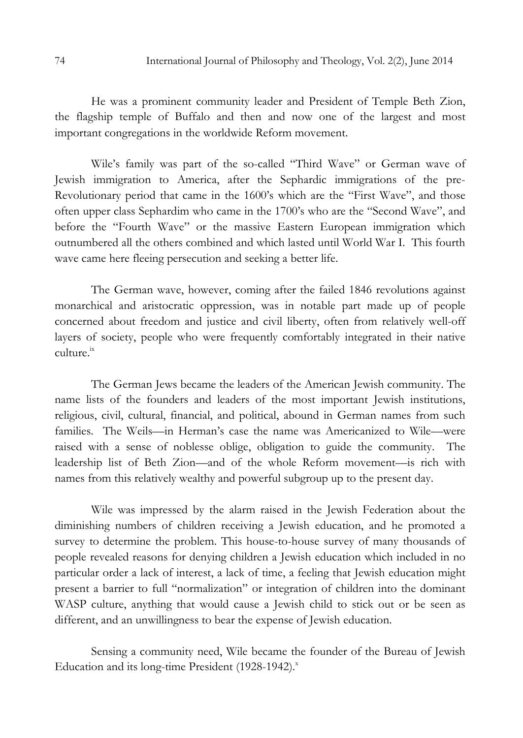He was a prominent community leader and President of Temple Beth Zion, the flagship temple of Buffalo and then and now one of the largest and most important congregations in the worldwide Reform movement.

Wile's family was part of the so-called "Third Wave" or German wave of Jewish immigration to America, after the Sephardic immigrations of the pre-Revolutionary period that came in the 1600's which are the "First Wave", and those often upper class Sephardim who came in the 1700's who are the "Second Wave", and before the "Fourth Wave" or the massive Eastern European immigration which outnumbered all the others combined and which lasted until World War I. This fourth wave came here fleeing persecution and seeking a better life.

The German wave, however, coming after the failed 1846 revolutions against monarchical and aristocratic oppression, was in notable part made up of people concerned about freedom and justice and civil liberty, often from relatively well-off layers of society, people who were frequently comfortably integrated in their native culture<sup>ix</sup>

The German Jews became the leaders of the American Jewish community. The name lists of the founders and leaders of the most important Jewish institutions, religious, civil, cultural, financial, and political, abound in German names from such families. The Weils—in Herman's case the name was Americanized to Wile—were raised with a sense of noblesse oblige, obligation to guide the community. The leadership list of Beth Zion—and of the whole Reform movement—is rich with names from this relatively wealthy and powerful subgroup up to the present day.

Wile was impressed by the alarm raised in the Jewish Federation about the diminishing numbers of children receiving a Jewish education, and he promoted a survey to determine the problem. This house-to-house survey of many thousands of people revealed reasons for denying children a Jewish education which included in no particular order a lack of interest, a lack of time, a feeling that Jewish education might present a barrier to full "normalization" or integration of children into the dominant WASP culture, anything that would cause a Jewish child to stick out or be seen as different, and an unwillingness to bear the expense of Jewish education.

Sensing a community need, Wile became the founder of the Bureau of Jewish Education and its long-time President (1928-1942). $^x$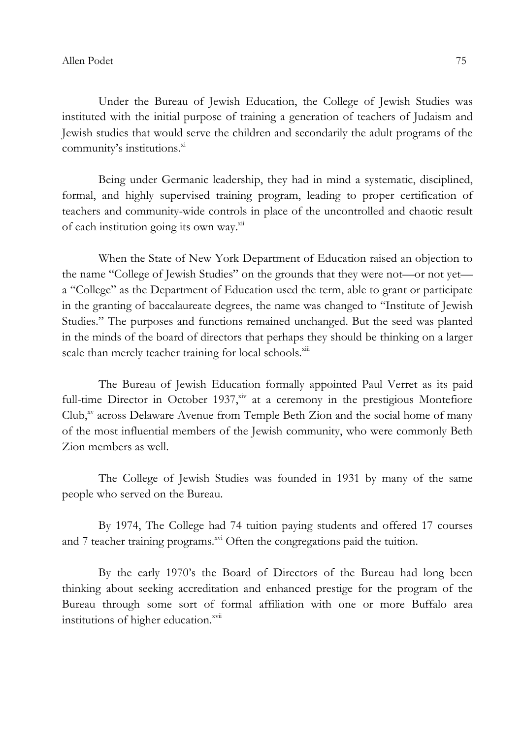Under the Bureau of Jewish Education, the College of Jewish Studies was instituted with the initial purpose of training a generation of teachers of Judaism and Jewish studies that would serve the children and secondarily the adult programs of the community's institutions.<sup>xi</sup>

Being under Germanic leadership, they had in mind a systematic, disciplined, formal, and highly supervised training program, leading to proper certification of teachers and community-wide controls in place of the uncontrolled and chaotic result of each institution going its own way.<sup>xii</sup>

When the State of New York Department of Education raised an objection to the name "College of Jewish Studies" on the grounds that they were not—or not yet a "College" as the Department of Education used the term, able to grant or participate in the granting of baccalaureate degrees, the name was changed to "Institute of Jewish Studies." The purposes and functions remained unchanged. But the seed was planted in the minds of the board of directors that perhaps they should be thinking on a larger scale than merely teacher training for local schools.<sup>xiii</sup>

The Bureau of Jewish Education formally appointed Paul Verret as its paid full-time Director in October 1937, $\frac{x}{y}$  at a ceremony in the prestigious Montefiore  $\text{Club},^{\text{sv}}$  across Delaware Avenue from Temple Beth Zion and the social home of many of the most influential members of the Jewish community, who were commonly Beth Zion members as well.

The College of Jewish Studies was founded in 1931 by many of the same people who served on the Bureau.

By 1974, The College had 74 tuition paying students and offered 17 courses and 7 teacher training programs.<sup>xvi</sup> Often the congregations paid the tuition.

By the early 1970's the Board of Directors of the Bureau had long been thinking about seeking accreditation and enhanced prestige for the program of the Bureau through some sort of formal affiliation with one or more Buffalo area institutions of higher education.<sup>xvii</sup>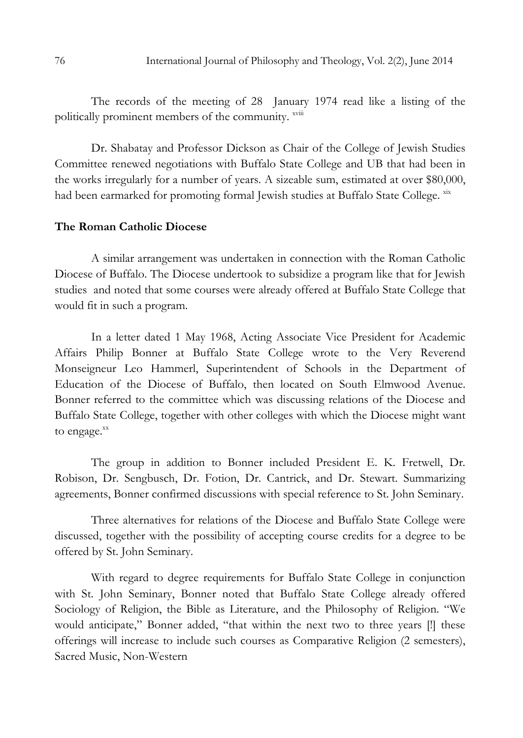The records of the meeting of 28 January 1974 read like a listing of the politically prominent members of the community. xviii

Dr. Shabatay and Professor Dickson as Chair of the College of Jewish Studies Committee renewed negotiations with Buffalo State College and UB that had been in the works irregularly for a number of years. A sizeable sum, estimated at over \$80,000, had been earmarked for promoting formal Jewish studies at Buffalo State College. xxx

## The Roman Catholic Diocese

A similar arrangement was undertaken in connection with the Roman Catholic Diocese of Buffalo. The Diocese undertook to subsidize a program like that for Jewish studies and noted that some courses were already offered at Buffalo State College that would fit in such a program.

In a letter dated 1 May 1968, Acting Associate Vice President for Academic Affairs Philip Bonner at Buffalo State College wrote to the Very Reverend Monseigneur Leo Hammerl, Superintendent of Schools in the Department of Education of the Diocese of Buffalo, then located on South Elmwood Avenue. Bonner referred to the committee which was discussing relations of the Diocese and Buffalo State College, together with other colleges with which the Diocese might want to engage. $\frac{xx}{x}$ 

The group in addition to Bonner included President E. K. Fretwell, Dr. Robison, Dr. Sengbusch, Dr. Fotion, Dr. Cantrick, and Dr. Stewart. Summarizing agreements, Bonner confirmed discussions with special reference to St. John Seminary.

Three alternatives for relations of the Diocese and Buffalo State College were discussed, together with the possibility of accepting course credits for a degree to be offered by St. John Seminary.

With regard to degree requirements for Buffalo State College in conjunction with St. John Seminary, Bonner noted that Buffalo State College already offered Sociology of Religion, the Bible as Literature, and the Philosophy of Religion. "We would anticipate," Bonner added, "that within the next two to three years [!] these offerings will increase to include such courses as Comparative Religion (2 semesters), Sacred Music, Non-Western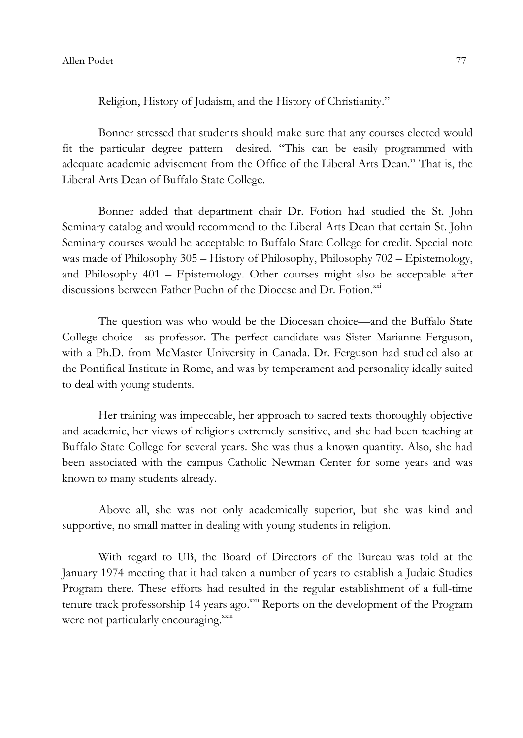Religion, History of Judaism, and the History of Christianity."

Bonner stressed that students should make sure that any courses elected would fit the particular degree pattern desired. "This can be easily programmed with adequate academic advisement from the Office of the Liberal Arts Dean." That is, the Liberal Arts Dean of Buffalo State College.

Bonner added that department chair Dr. Fotion had studied the St. John Seminary catalog and would recommend to the Liberal Arts Dean that certain St. John Seminary courses would be acceptable to Buffalo State College for credit. Special note was made of Philosophy 305 – History of Philosophy, Philosophy 702 – Epistemology, and Philosophy 401 – Epistemology. Other courses might also be acceptable after discussions between Father Puehn of the Diocese and Dr. Fotion.<sup>xxi</sup>

The question was who would be the Diocesan choice—and the Buffalo State College choice—as professor. The perfect candidate was Sister Marianne Ferguson, with a Ph.D. from McMaster University in Canada. Dr. Ferguson had studied also at the Pontifical Institute in Rome, and was by temperament and personality ideally suited to deal with young students.

Her training was impeccable, her approach to sacred texts thoroughly objective and academic, her views of religions extremely sensitive, and she had been teaching at Buffalo State College for several years. She was thus a known quantity. Also, she had been associated with the campus Catholic Newman Center for some years and was known to many students already.

Above all, she was not only academically superior, but she was kind and supportive, no small matter in dealing with young students in religion.

With regard to UB, the Board of Directors of the Bureau was told at the January 1974 meeting that it had taken a number of years to establish a Judaic Studies Program there. These efforts had resulted in the regular establishment of a full-time tenure track professorship 14 years ago.<sup>xxii</sup> Reports on the development of the Program were not particularly encouraging.<sup>xxiii</sup>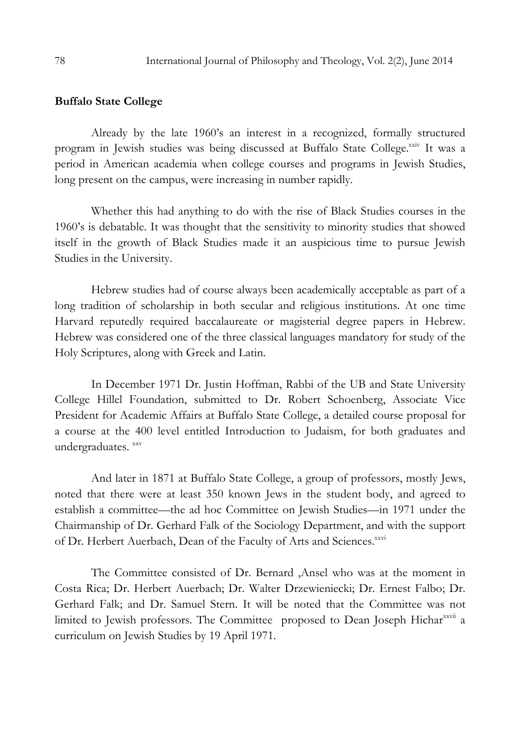#### Buffalo State College

Already by the late 1960's an interest in a recognized, formally structured program in Jewish studies was being discussed at Buffalo State College.xxiv It was a period in American academia when college courses and programs in Jewish Studies, long present on the campus, were increasing in number rapidly.

Whether this had anything to do with the rise of Black Studies courses in the 1960's is debatable. It was thought that the sensitivity to minority studies that showed itself in the growth of Black Studies made it an auspicious time to pursue Jewish Studies in the University.

Hebrew studies had of course always been academically acceptable as part of a long tradition of scholarship in both secular and religious institutions. At one time Harvard reputedly required baccalaureate or magisterial degree papers in Hebrew. Hebrew was considered one of the three classical languages mandatory for study of the Holy Scriptures, along with Greek and Latin.

In December 1971 Dr. Justin Hoffman, Rabbi of the UB and State University College Hillel Foundation, submitted to Dr. Robert Schoenberg, Associate Vice President for Academic Affairs at Buffalo State College, a detailed course proposal for a course at the 400 level entitled Introduction to Judaism, for both graduates and undergraduates. xxv

And later in 1871 at Buffalo State College, a group of professors, mostly Jews, noted that there were at least 350 known Jews in the student body, and agreed to establish a committee—the ad hoc Committee on Jewish Studies—in 1971 under the Chairmanship of Dr. Gerhard Falk of the Sociology Department, and with the support of Dr. Herbert Auerbach, Dean of the Faculty of Arts and Sciences.<sup>xxvi</sup>

The Committee consisted of Dr. Bernard ,Ansel who was at the moment in Costa Rica; Dr. Herbert Auerbach; Dr. Walter Drzewieniecki; Dr. Ernest Falbo; Dr. Gerhard Falk; and Dr. Samuel Stern. It will be noted that the Committee was not limited to Jewish professors. The Committee proposed to Dean Joseph Hichar<sup>xxvii</sup> a curriculum on Jewish Studies by 19 April 1971.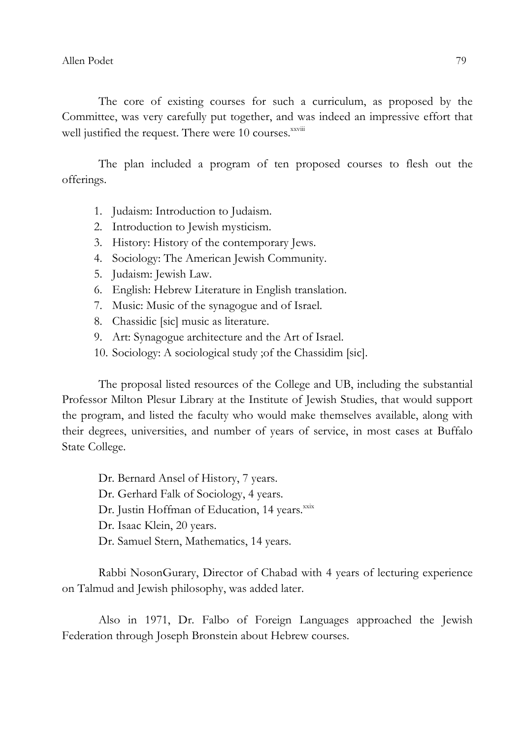Allen Podet 79

The core of existing courses for such a curriculum, as proposed by the Committee, was very carefully put together, and was indeed an impressive effort that well justified the request. There were 10 courses.<sup>xxviii</sup>

The plan included a program of ten proposed courses to flesh out the offerings.

- 1. Judaism: Introduction to Judaism.
- 2. Introduction to Jewish mysticism.
- 3. History: History of the contemporary Jews.
- 4. Sociology: The American Jewish Community.
- 5. Judaism: Jewish Law.
- 6. English: Hebrew Literature in English translation.
- 7. Music: Music of the synagogue and of Israel.
- 8. Chassidic [sic] music as literature.
- 9. Art: Synagogue architecture and the Art of Israel.
- 10. Sociology: A sociological study ;of the Chassidim [sic].

The proposal listed resources of the College and UB, including the substantial Professor Milton Plesur Library at the Institute of Jewish Studies, that would support the program, and listed the faculty who would make themselves available, along with their degrees, universities, and number of years of service, in most cases at Buffalo State College.

Dr. Bernard Ansel of History, 7 years.

- Dr. Gerhard Falk of Sociology, 4 years.
- Dr. Justin Hoffman of Education, 14 years.<sup>xxix</sup>
- Dr. Isaac Klein, 20 years.
- Dr. Samuel Stern, Mathematics, 14 years.

Rabbi NosonGurary, Director of Chabad with 4 years of lecturing experience on Talmud and Jewish philosophy, was added later.

Also in 1971, Dr. Falbo of Foreign Languages approached the Jewish Federation through Joseph Bronstein about Hebrew courses.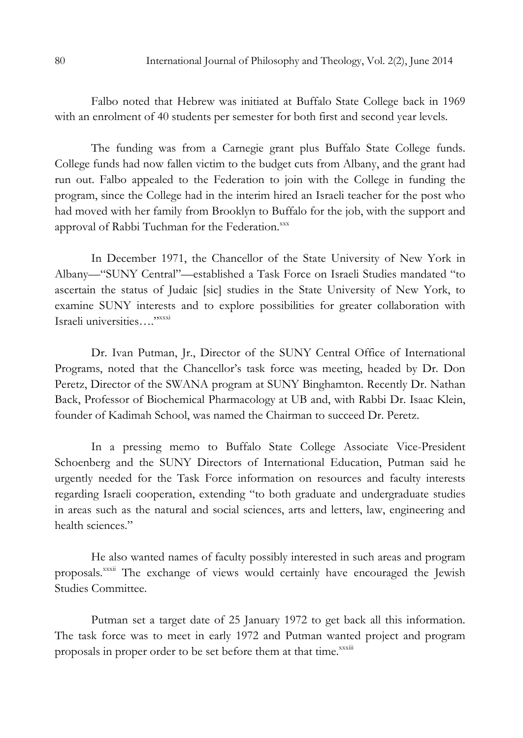Falbo noted that Hebrew was initiated at Buffalo State College back in 1969 with an enrolment of 40 students per semester for both first and second year levels.

The funding was from a Carnegie grant plus Buffalo State College funds. College funds had now fallen victim to the budget cuts from Albany, and the grant had run out. Falbo appealed to the Federation to join with the College in funding the program, since the College had in the interim hired an Israeli teacher for the post who had moved with her family from Brooklyn to Buffalo for the job, with the support and approval of Rabbi Tuchman for the Federation.xxx

In December 1971, the Chancellor of the State University of New York in Albany—"SUNY Central"—established a Task Force on Israeli Studies mandated "to ascertain the status of Judaic [sic] studies in the State University of New York, to examine SUNY interests and to explore possibilities for greater collaboration with Israeli universities…."xxxi

Dr. Ivan Putman, Jr., Director of the SUNY Central Office of International Programs, noted that the Chancellor's task force was meeting, headed by Dr. Don Peretz, Director of the SWANA program at SUNY Binghamton. Recently Dr. Nathan Back, Professor of Biochemical Pharmacology at UB and, with Rabbi Dr. Isaac Klein, founder of Kadimah School, was named the Chairman to succeed Dr. Peretz.

In a pressing memo to Buffalo State College Associate Vice-President Schoenberg and the SUNY Directors of International Education, Putman said he urgently needed for the Task Force information on resources and faculty interests regarding Israeli cooperation, extending "to both graduate and undergraduate studies in areas such as the natural and social sciences, arts and letters, law, engineering and health sciences."

He also wanted names of faculty possibly interested in such areas and program proposals.<sup>xxxii</sup> The exchange of views would certainly have encouraged the Jewish Studies Committee.

Putman set a target date of 25 January 1972 to get back all this information. The task force was to meet in early 1972 and Putman wanted project and program proposals in proper order to be set before them at that time. XXXIII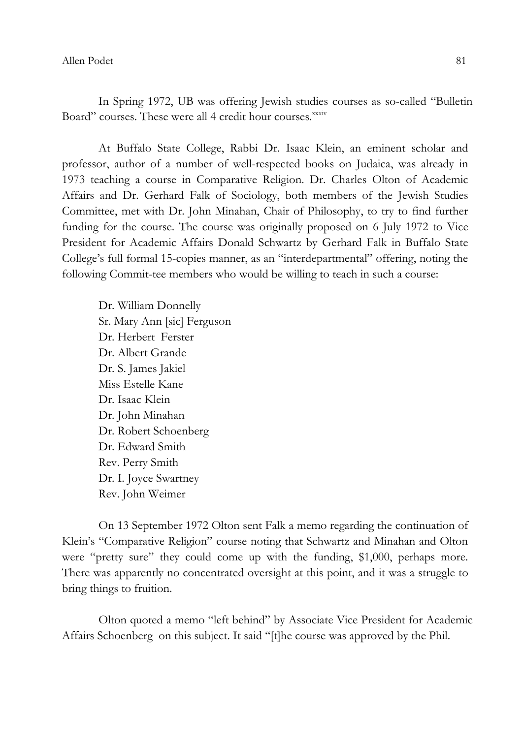In Spring 1972, UB was offering Jewish studies courses as so-called "Bulletin Board" courses. These were all 4 credit hour courses.<sup>xxxiv</sup>

At Buffalo State College, Rabbi Dr. Isaac Klein, an eminent scholar and professor, author of a number of well-respected books on Judaica, was already in 1973 teaching a course in Comparative Religion. Dr. Charles Olton of Academic Affairs and Dr. Gerhard Falk of Sociology, both members of the Jewish Studies Committee, met with Dr. John Minahan, Chair of Philosophy, to try to find further funding for the course. The course was originally proposed on 6 July 1972 to Vice President for Academic Affairs Donald Schwartz by Gerhard Falk in Buffalo State College's full formal 15-copies manner, as an "interdepartmental" offering, noting the following Commit-tee members who would be willing to teach in such a course:

Dr. William Donnelly Sr. Mary Ann [sic] Ferguson Dr. Herbert Ferster Dr. Albert Grande Dr. S. James Jakiel Miss Estelle Kane Dr. Isaac Klein Dr. John Minahan Dr. Robert Schoenberg Dr. Edward Smith Rev. Perry Smith Dr. I. Joyce Swartney Rev. John Weimer

On 13 September 1972 Olton sent Falk a memo regarding the continuation of Klein's "Comparative Religion" course noting that Schwartz and Minahan and Olton were "pretty sure" they could come up with the funding, \$1,000, perhaps more. There was apparently no concentrated oversight at this point, and it was a struggle to bring things to fruition.

Olton quoted a memo "left behind" by Associate Vice President for Academic Affairs Schoenberg on this subject. It said "[t]he course was approved by the Phil.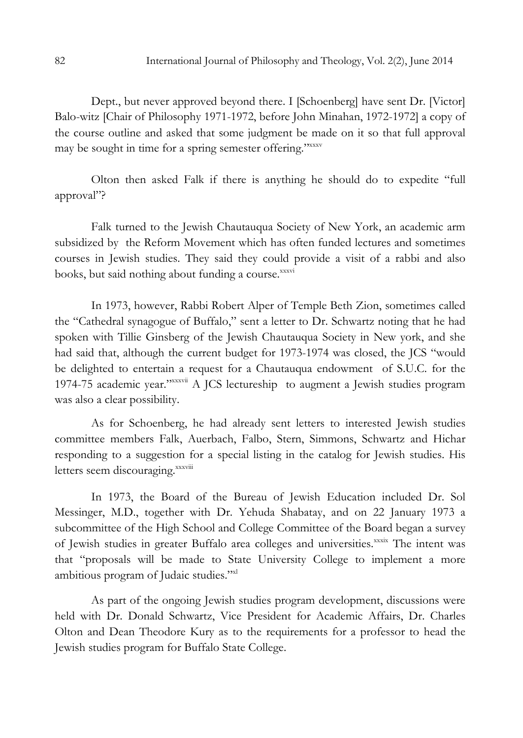Dept., but never approved beyond there. I [Schoenberg] have sent Dr. [Victor] Balo-witz [Chair of Philosophy 1971-1972, before John Minahan, 1972-1972] a copy of the course outline and asked that some judgment be made on it so that full approval may be sought in time for a spring semester offering."xxxv

Olton then asked Falk if there is anything he should do to expedite "full approval"?

Falk turned to the Jewish Chautauqua Society of New York, an academic arm subsidized by the Reform Movement which has often funded lectures and sometimes courses in Jewish studies. They said they could provide a visit of a rabbi and also books, but said nothing about funding a course.<sup>xxxvi</sup>

In 1973, however, Rabbi Robert Alper of Temple Beth Zion, sometimes called the "Cathedral synagogue of Buffalo," sent a letter to Dr. Schwartz noting that he had spoken with Tillie Ginsberg of the Jewish Chautauqua Society in New york, and she had said that, although the current budget for 1973-1974 was closed, the JCS "would be delighted to entertain a request for a Chautauqua endowment of S.U.C. for the 1974-75 academic year."xxxvii A JCS lectureship to augment a Jewish studies program was also a clear possibility.

As for Schoenberg, he had already sent letters to interested Jewish studies committee members Falk, Auerbach, Falbo, Stern, Simmons, Schwartz and Hichar responding to a suggestion for a special listing in the catalog for Jewish studies. His letters seem discouraging.xxxviii

In 1973, the Board of the Bureau of Jewish Education included Dr. Sol Messinger, M.D., together with Dr. Yehuda Shabatay, and on 22 January 1973 a subcommittee of the High School and College Committee of the Board began a survey of Jewish studies in greater Buffalo area colleges and universities.<sup>xxxix</sup> The intent was that "proposals will be made to State University College to implement a more ambitious program of Judaic studies."xl

As part of the ongoing Jewish studies program development, discussions were held with Dr. Donald Schwartz, Vice President for Academic Affairs, Dr. Charles Olton and Dean Theodore Kury as to the requirements for a professor to head the Jewish studies program for Buffalo State College.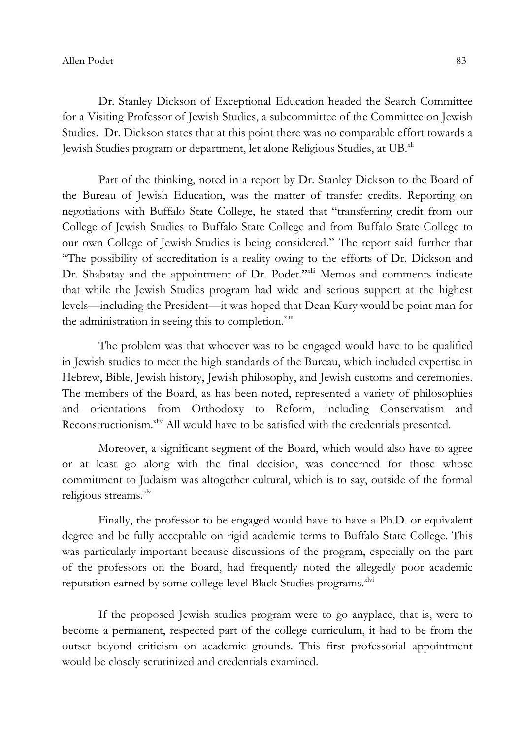#### Allen Podet 83

Dr. Stanley Dickson of Exceptional Education headed the Search Committee for a Visiting Professor of Jewish Studies, a subcommittee of the Committee on Jewish Studies. Dr. Dickson states that at this point there was no comparable effort towards a Jewish Studies program or department, let alone Religious Studies, at UB.<sup>xli</sup>

Part of the thinking, noted in a report by Dr. Stanley Dickson to the Board of the Bureau of Jewish Education, was the matter of transfer credits. Reporting on negotiations with Buffalo State College, he stated that "transferring credit from our College of Jewish Studies to Buffalo State College and from Buffalo State College to our own College of Jewish Studies is being considered." The report said further that "The possibility of accreditation is a reality owing to the efforts of Dr. Dickson and Dr. Shabatay and the appointment of Dr. Podet."xlii Memos and comments indicate that while the Jewish Studies program had wide and serious support at the highest levels—including the President—it was hoped that Dean Kury would be point man for the administration in seeing this to completion. $x^{\text{limit}}$ 

The problem was that whoever was to be engaged would have to be qualified in Jewish studies to meet the high standards of the Bureau, which included expertise in Hebrew, Bible, Jewish history, Jewish philosophy, and Jewish customs and ceremonies. The members of the Board, as has been noted, represented a variety of philosophies and orientations from Orthodoxy to Reform, including Conservatism and Reconstructionism.<sup>xliv</sup> All would have to be satisfied with the credentials presented.

Moreover, a significant segment of the Board, which would also have to agree or at least go along with the final decision, was concerned for those whose commitment to Judaism was altogether cultural, which is to say, outside of the formal religious streams.<sup>xlv</sup>

Finally, the professor to be engaged would have to have a Ph.D. or equivalent degree and be fully acceptable on rigid academic terms to Buffalo State College. This was particularly important because discussions of the program, especially on the part of the professors on the Board, had frequently noted the allegedly poor academic reputation earned by some college-level Black Studies programs. XIVi

If the proposed Jewish studies program were to go anyplace, that is, were to become a permanent, respected part of the college curriculum, it had to be from the outset beyond criticism on academic grounds. This first professorial appointment would be closely scrutinized and credentials examined.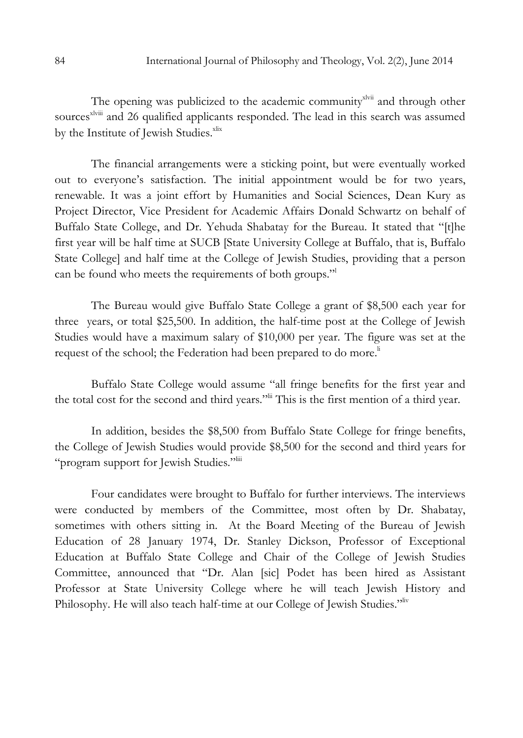The opening was publicized to the academic community<sup>xlvii</sup> and through other sources<sup>xlviii</sup> and 26 qualified applicants responded. The lead in this search was assumed by the Institute of Jewish Studies.<sup>xlix</sup>

The financial arrangements were a sticking point, but were eventually worked out to everyone's satisfaction. The initial appointment would be for two years, renewable. It was a joint effort by Humanities and Social Sciences, Dean Kury as Project Director, Vice President for Academic Affairs Donald Schwartz on behalf of Buffalo State College, and Dr. Yehuda Shabatay for the Bureau. It stated that "[t]he first year will be half time at SUCB [State University College at Buffalo, that is, Buffalo State College] and half time at the College of Jewish Studies, providing that a person can be found who meets the requirements of both groups."

The Bureau would give Buffalo State College a grant of \$8,500 each year for three years, or total \$25,500. In addition, the half-time post at the College of Jewish Studies would have a maximum salary of \$10,000 per year. The figure was set at the request of the school; the Federation had been prepared to do more.<sup>Ii</sup>

Buffalo State College would assume "all fringe benefits for the first year and the total cost for the second and third years."lii This is the first mention of a third year.

In addition, besides the \$8,500 from Buffalo State College for fringe benefits, the College of Jewish Studies would provide \$8,500 for the second and third years for "program support for Jewish Studies."<sup>liii</sup>

Four candidates were brought to Buffalo for further interviews. The interviews were conducted by members of the Committee, most often by Dr. Shabatay, sometimes with others sitting in. At the Board Meeting of the Bureau of Jewish Education of 28 January 1974, Dr. Stanley Dickson, Professor of Exceptional Education at Buffalo State College and Chair of the College of Jewish Studies Committee, announced that "Dr. Alan [sic] Podet has been hired as Assistant Professor at State University College where he will teach Jewish History and Philosophy. He will also teach half-time at our College of Jewish Studies."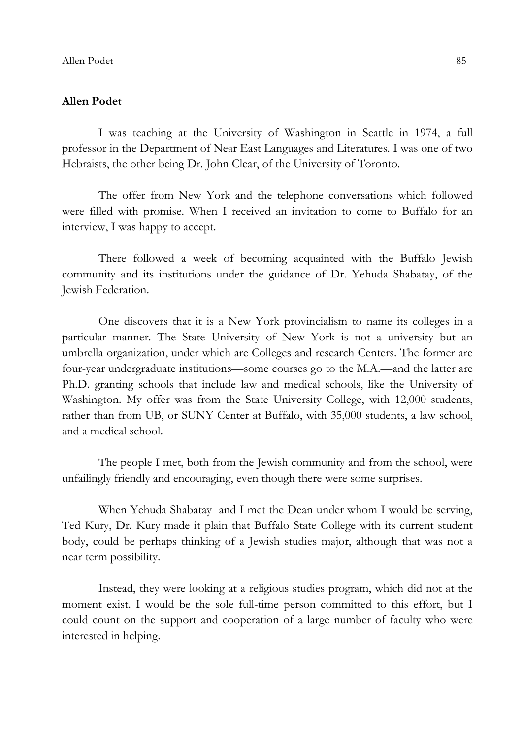### Allen Podet

I was teaching at the University of Washington in Seattle in 1974, a full professor in the Department of Near East Languages and Literatures. I was one of two Hebraists, the other being Dr. John Clear, of the University of Toronto.

The offer from New York and the telephone conversations which followed were filled with promise. When I received an invitation to come to Buffalo for an interview, I was happy to accept.

There followed a week of becoming acquainted with the Buffalo Jewish community and its institutions under the guidance of Dr. Yehuda Shabatay, of the Jewish Federation.

One discovers that it is a New York provincialism to name its colleges in a particular manner. The State University of New York is not a university but an umbrella organization, under which are Colleges and research Centers. The former are four-year undergraduate institutions—some courses go to the M.A.—and the latter are Ph.D. granting schools that include law and medical schools, like the University of Washington. My offer was from the State University College, with 12,000 students, rather than from UB, or SUNY Center at Buffalo, with 35,000 students, a law school, and a medical school.

The people I met, both from the Jewish community and from the school, were unfailingly friendly and encouraging, even though there were some surprises.

When Yehuda Shabatay and I met the Dean under whom I would be serving, Ted Kury, Dr. Kury made it plain that Buffalo State College with its current student body, could be perhaps thinking of a Jewish studies major, although that was not a near term possibility.

Instead, they were looking at a religious studies program, which did not at the moment exist. I would be the sole full-time person committed to this effort, but I could count on the support and cooperation of a large number of faculty who were interested in helping.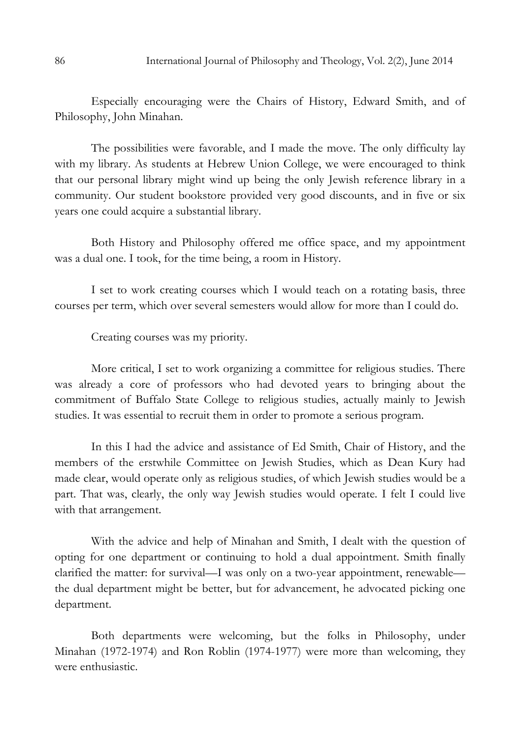Especially encouraging were the Chairs of History, Edward Smith, and of Philosophy, John Minahan.

The possibilities were favorable, and I made the move. The only difficulty lay with my library. As students at Hebrew Union College, we were encouraged to think that our personal library might wind up being the only Jewish reference library in a community. Our student bookstore provided very good discounts, and in five or six years one could acquire a substantial library.

Both History and Philosophy offered me office space, and my appointment was a dual one. I took, for the time being, a room in History.

I set to work creating courses which I would teach on a rotating basis, three courses per term, which over several semesters would allow for more than I could do.

Creating courses was my priority.

More critical, I set to work organizing a committee for religious studies. There was already a core of professors who had devoted years to bringing about the commitment of Buffalo State College to religious studies, actually mainly to Jewish studies. It was essential to recruit them in order to promote a serious program.

In this I had the advice and assistance of Ed Smith, Chair of History, and the members of the erstwhile Committee on Jewish Studies, which as Dean Kury had made clear, would operate only as religious studies, of which Jewish studies would be a part. That was, clearly, the only way Jewish studies would operate. I felt I could live with that arrangement.

With the advice and help of Minahan and Smith, I dealt with the question of opting for one department or continuing to hold a dual appointment. Smith finally clarified the matter: for survival—I was only on a two-year appointment, renewable the dual department might be better, but for advancement, he advocated picking one department.

Both departments were welcoming, but the folks in Philosophy, under Minahan (1972-1974) and Ron Roblin (1974-1977) were more than welcoming, they were enthusiastic.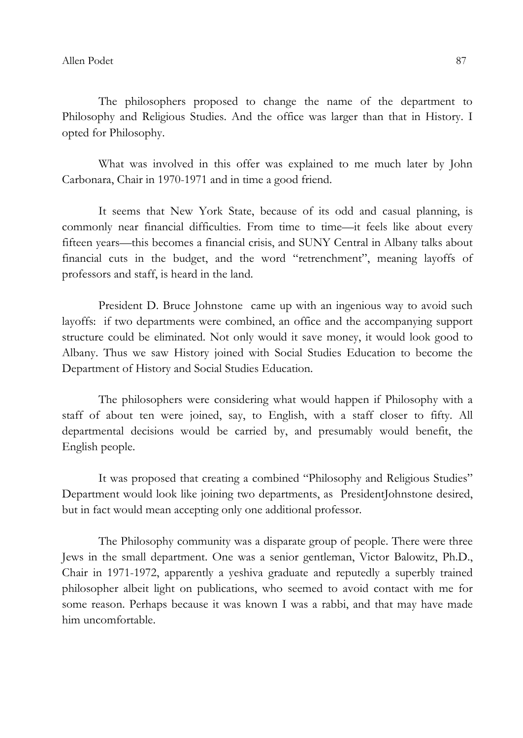The philosophers proposed to change the name of the department to Philosophy and Religious Studies. And the office was larger than that in History. I opted for Philosophy.

What was involved in this offer was explained to me much later by John Carbonara, Chair in 1970-1971 and in time a good friend.

It seems that New York State, because of its odd and casual planning, is commonly near financial difficulties. From time to time—it feels like about every fifteen years—this becomes a financial crisis, and SUNY Central in Albany talks about financial cuts in the budget, and the word "retrenchment", meaning layoffs of professors and staff, is heard in the land.

President D. Bruce Johnstone came up with an ingenious way to avoid such layoffs: if two departments were combined, an office and the accompanying support structure could be eliminated. Not only would it save money, it would look good to Albany. Thus we saw History joined with Social Studies Education to become the Department of History and Social Studies Education.

The philosophers were considering what would happen if Philosophy with a staff of about ten were joined, say, to English, with a staff closer to fifty. All departmental decisions would be carried by, and presumably would benefit, the English people.

It was proposed that creating a combined "Philosophy and Religious Studies" Department would look like joining two departments, as PresidentJohnstone desired, but in fact would mean accepting only one additional professor.

The Philosophy community was a disparate group of people. There were three Jews in the small department. One was a senior gentleman, Victor Balowitz, Ph.D., Chair in 1971-1972, apparently a yeshiva graduate and reputedly a superbly trained philosopher albeit light on publications, who seemed to avoid contact with me for some reason. Perhaps because it was known I was a rabbi, and that may have made him uncomfortable.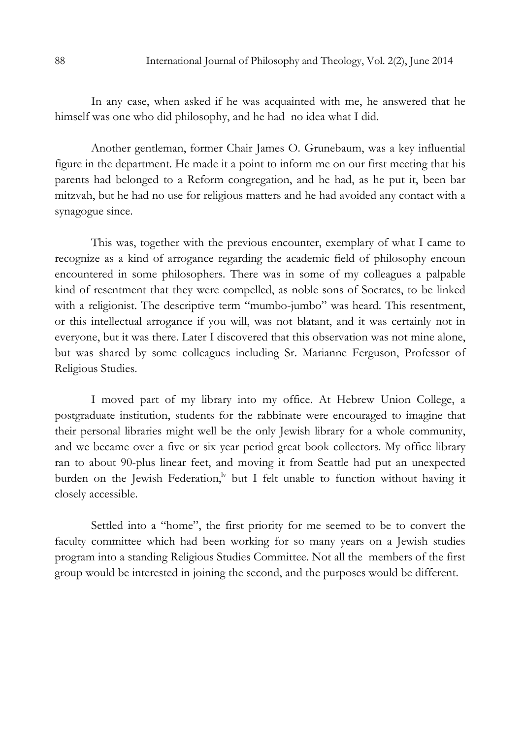In any case, when asked if he was acquainted with me, he answered that he himself was one who did philosophy, and he had no idea what I did.

Another gentleman, former Chair James O. Grunebaum, was a key influential figure in the department. He made it a point to inform me on our first meeting that his parents had belonged to a Reform congregation, and he had, as he put it, been bar mitzvah, but he had no use for religious matters and he had avoided any contact with a synagogue since.

This was, together with the previous encounter, exemplary of what I came to recognize as a kind of arrogance regarding the academic field of philosophy encoun encountered in some philosophers. There was in some of my colleagues a palpable kind of resentment that they were compelled, as noble sons of Socrates, to be linked with a religionist. The descriptive term "mumbo-jumbo" was heard. This resentment, or this intellectual arrogance if you will, was not blatant, and it was certainly not in everyone, but it was there. Later I discovered that this observation was not mine alone, but was shared by some colleagues including Sr. Marianne Ferguson, Professor of Religious Studies.

I moved part of my library into my office. At Hebrew Union College, a postgraduate institution, students for the rabbinate were encouraged to imagine that their personal libraries might well be the only Jewish library for a whole community, and we became over a five or six year period great book collectors. My office library ran to about 90-plus linear feet, and moving it from Seattle had put an unexpected burden on the Jewish Federation, $\frac{dv}{dt}$  but I felt unable to function without having it closely accessible.

Settled into a "home", the first priority for me seemed to be to convert the faculty committee which had been working for so many years on a Jewish studies program into a standing Religious Studies Committee. Not all the members of the first group would be interested in joining the second, and the purposes would be different.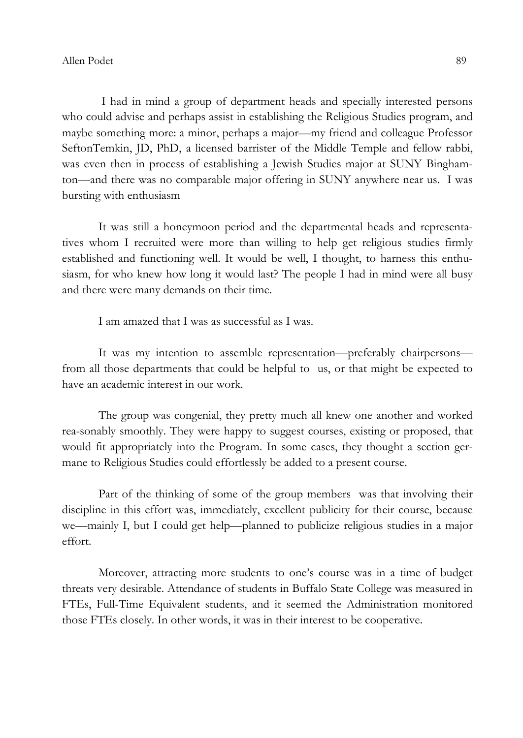I had in mind a group of department heads and specially interested persons who could advise and perhaps assist in establishing the Religious Studies program, and maybe something more: a minor, perhaps a major—my friend and colleague Professor SeftonTemkin, JD, PhD, a licensed barrister of the Middle Temple and fellow rabbi, was even then in process of establishing a Jewish Studies major at SUNY Binghamton—and there was no comparable major offering in SUNY anywhere near us. I was bursting with enthusiasm

It was still a honeymoon period and the departmental heads and representatives whom I recruited were more than willing to help get religious studies firmly established and functioning well. It would be well, I thought, to harness this enthusiasm, for who knew how long it would last? The people I had in mind were all busy and there were many demands on their time.

I am amazed that I was as successful as I was.

It was my intention to assemble representation—preferably chairpersons from all those departments that could be helpful to us, or that might be expected to have an academic interest in our work.

The group was congenial, they pretty much all knew one another and worked rea-sonably smoothly. They were happy to suggest courses, existing or proposed, that would fit appropriately into the Program. In some cases, they thought a section germane to Religious Studies could effortlessly be added to a present course.

Part of the thinking of some of the group members was that involving their discipline in this effort was, immediately, excellent publicity for their course, because we—mainly I, but I could get help—planned to publicize religious studies in a major effort.

Moreover, attracting more students to one's course was in a time of budget threats very desirable. Attendance of students in Buffalo State College was measured in FTEs, Full-Time Equivalent students, and it seemed the Administration monitored those FTEs closely. In other words, it was in their interest to be cooperative.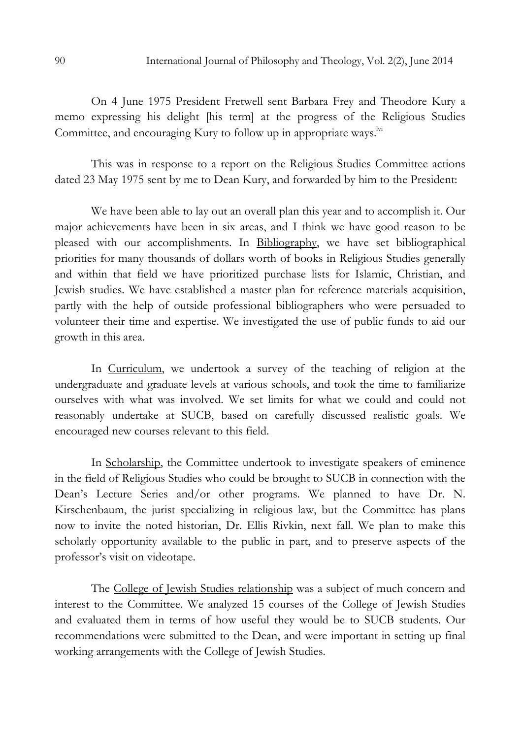On 4 June 1975 President Fretwell sent Barbara Frey and Theodore Kury a memo expressing his delight [his term] at the progress of the Religious Studies Committee, and encouraging Kury to follow up in appropriate ways.<sup>Ivi</sup>

This was in response to a report on the Religious Studies Committee actions dated 23 May 1975 sent by me to Dean Kury, and forwarded by him to the President:

We have been able to lay out an overall plan this year and to accomplish it. Our major achievements have been in six areas, and I think we have good reason to be pleased with our accomplishments. In Bibliography, we have set bibliographical priorities for many thousands of dollars worth of books in Religious Studies generally and within that field we have prioritized purchase lists for Islamic, Christian, and Jewish studies. We have established a master plan for reference materials acquisition, partly with the help of outside professional bibliographers who were persuaded to volunteer their time and expertise. We investigated the use of public funds to aid our growth in this area.

In Curriculum, we undertook a survey of the teaching of religion at the undergraduate and graduate levels at various schools, and took the time to familiarize ourselves with what was involved. We set limits for what we could and could not reasonably undertake at SUCB, based on carefully discussed realistic goals. We encouraged new courses relevant to this field.

In Scholarship, the Committee undertook to investigate speakers of eminence in the field of Religious Studies who could be brought to SUCB in connection with the Dean's Lecture Series and/or other programs. We planned to have Dr. N. Kirschenbaum, the jurist specializing in religious law, but the Committee has plans now to invite the noted historian, Dr. Ellis Rivkin, next fall. We plan to make this scholarly opportunity available to the public in part, and to preserve aspects of the professor's visit on videotape.

The College of Jewish Studies relationship was a subject of much concern and interest to the Committee. We analyzed 15 courses of the College of Jewish Studies and evaluated them in terms of how useful they would be to SUCB students. Our recommendations were submitted to the Dean, and were important in setting up final working arrangements with the College of Jewish Studies.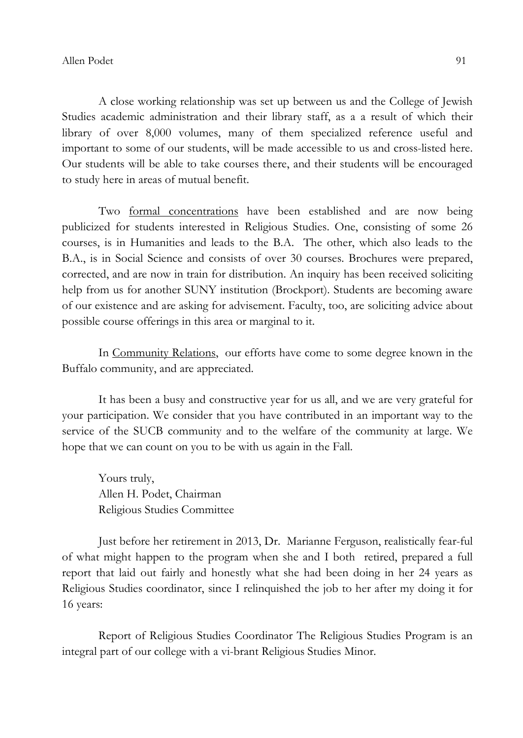A close working relationship was set up between us and the College of Jewish Studies academic administration and their library staff, as a a result of which their library of over 8,000 volumes, many of them specialized reference useful and important to some of our students, will be made accessible to us and cross-listed here. Our students will be able to take courses there, and their students will be encouraged to study here in areas of mutual benefit.

Two formal concentrations have been established and are now being publicized for students interested in Religious Studies. One, consisting of some 26 courses, is in Humanities and leads to the B.A. The other, which also leads to the B.A., is in Social Science and consists of over 30 courses. Brochures were prepared, corrected, and are now in train for distribution. An inquiry has been received soliciting help from us for another SUNY institution (Brockport). Students are becoming aware of our existence and are asking for advisement. Faculty, too, are soliciting advice about possible course offerings in this area or marginal to it.

In Community Relations, our efforts have come to some degree known in the Buffalo community, and are appreciated.

It has been a busy and constructive year for us all, and we are very grateful for your participation. We consider that you have contributed in an important way to the service of the SUCB community and to the welfare of the community at large. We hope that we can count on you to be with us again in the Fall.

Yours truly, Allen H. Podet, Chairman Religious Studies Committee

Just before her retirement in 2013, Dr. Marianne Ferguson, realistically fear-ful of what might happen to the program when she and I both retired, prepared a full report that laid out fairly and honestly what she had been doing in her 24 years as Religious Studies coordinator, since I relinquished the job to her after my doing it for 16 years:

Report of Religious Studies Coordinator The Religious Studies Program is an integral part of our college with a vi-brant Religious Studies Minor.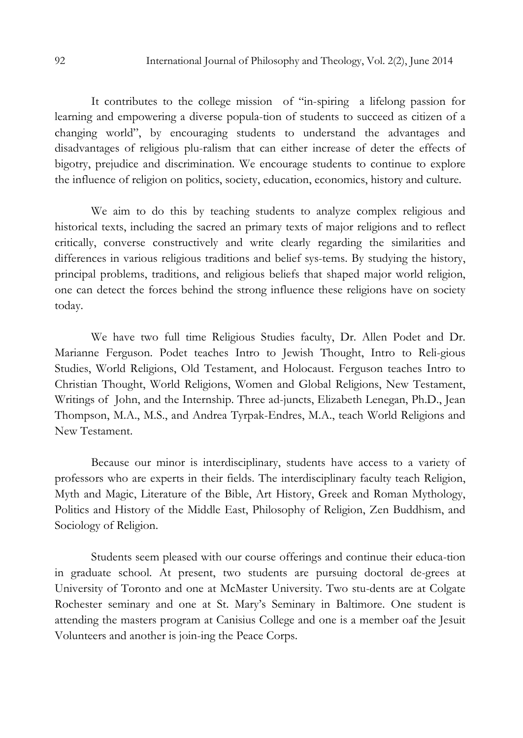It contributes to the college mission of "in-spiring a lifelong passion for learning and empowering a diverse popula-tion of students to succeed as citizen of a changing world", by encouraging students to understand the advantages and disadvantages of religious plu-ralism that can either increase of deter the effects of bigotry, prejudice and discrimination. We encourage students to continue to explore the influence of religion on politics, society, education, economics, history and culture.

We aim to do this by teaching students to analyze complex religious and historical texts, including the sacred an primary texts of major religions and to reflect critically, converse constructively and write clearly regarding the similarities and differences in various religious traditions and belief sys-tems. By studying the history, principal problems, traditions, and religious beliefs that shaped major world religion, one can detect the forces behind the strong influence these religions have on society today.

We have two full time Religious Studies faculty, Dr. Allen Podet and Dr. Marianne Ferguson. Podet teaches Intro to Jewish Thought, Intro to Reli-gious Studies, World Religions, Old Testament, and Holocaust. Ferguson teaches Intro to Christian Thought, World Religions, Women and Global Religions, New Testament, Writings of John, and the Internship. Three ad-juncts, Elizabeth Lenegan, Ph.D., Jean Thompson, M.A., M.S., and Andrea Tyrpak-Endres, M.A., teach World Religions and New Testament.

Because our minor is interdisciplinary, students have access to a variety of professors who are experts in their fields. The interdisciplinary faculty teach Religion, Myth and Magic, Literature of the Bible, Art History, Greek and Roman Mythology, Politics and History of the Middle East, Philosophy of Religion, Zen Buddhism, and Sociology of Religion.

Students seem pleased with our course offerings and continue their educa-tion in graduate school. At present, two students are pursuing doctoral de-grees at University of Toronto and one at McMaster University. Two stu-dents are at Colgate Rochester seminary and one at St. Mary's Seminary in Baltimore. One student is attending the masters program at Canisius College and one is a member oaf the Jesuit Volunteers and another is join-ing the Peace Corps.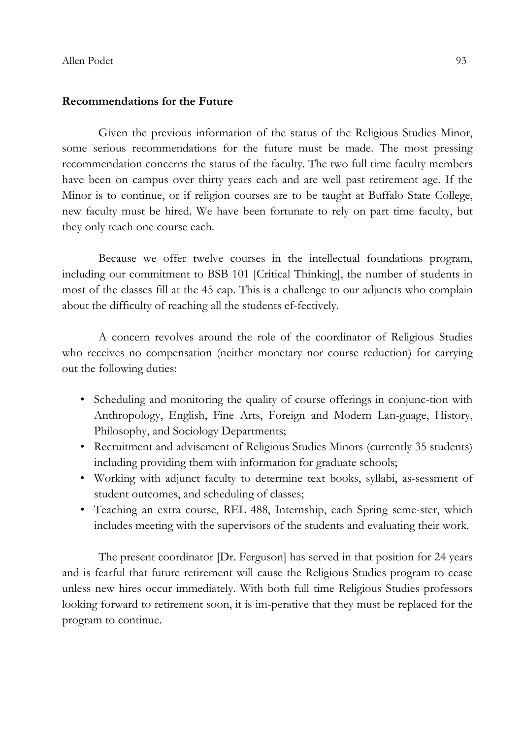#### Recommendations for the Future

Given the previous information of the status of the Religious Studies Minor, some serious recommendations for the future must be made. The most pressing recommendation concerns the status of the faculty. The two full time faculty members have been on campus over thirty years each and are well past retirement age. If the Minor is to continue, or if religion courses are to be taught at Buffalo State College, new faculty must be hired. We have been fortunate to rely on part time faculty, but they only teach one course each.

Because we offer twelve courses in the intellectual foundations program, including our commitment to BSB 101 [Critical Thinking], the number of students in most of the classes fill at the 45 cap. This is a challenge to our adjuncts who complain about the difficulty of reaching all the students ef-fectively.

A concern revolves around the role of the coordinator of Religious Studies who receives no compensation (neither monetary nor course reduction) for carrying out the following duties:

- Scheduling and monitoring the quality of course offerings in conjunc-tion with Anthropology, English, Fine Arts, Foreign and Modern Lan-guage, History, Philosophy, and Sociology Departments;
- Recruitment and advisement of Religious Studies Minors (currently 35 students) including providing them with information for graduate schools;
- Working with adjunct faculty to determine text books, syllabi, as-sessment of student outcomes, and scheduling of classes;
- Teaching an extra course, REL 488, Internship, each Spring seme-ster, which includes meeting with the supervisors of the students and evaluating their work.

The present coordinator [Dr. Ferguson] has served in that position for 24 years and is fearful that future retirement will cause the Religious Studies program to cease unless new hires occur immediately. With both full time Religious Studies professors looking forward to retirement soon, it is im-perative that they must be replaced for the program to continue.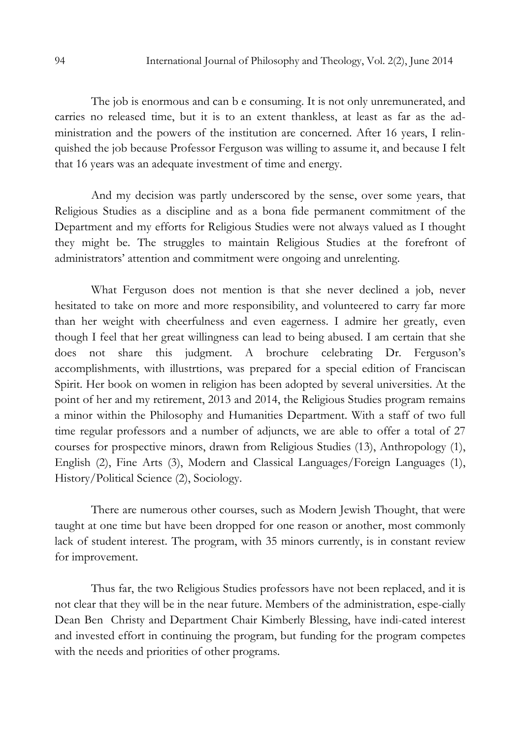The job is enormous and can b e consuming. It is not only unremunerated, and carries no released time, but it is to an extent thankless, at least as far as the administration and the powers of the institution are concerned. After 16 years, I relinquished the job because Professor Ferguson was willing to assume it, and because I felt that 16 years was an adequate investment of time and energy.

And my decision was partly underscored by the sense, over some years, that Religious Studies as a discipline and as a bona fide permanent commitment of the Department and my efforts for Religious Studies were not always valued as I thought they might be. The struggles to maintain Religious Studies at the forefront of administrators' attention and commitment were ongoing and unrelenting.

What Ferguson does not mention is that she never declined a job, never hesitated to take on more and more responsibility, and volunteered to carry far more than her weight with cheerfulness and even eagerness. I admire her greatly, even though I feel that her great willingness can lead to being abused. I am certain that she does not share this judgment. A brochure celebrating Dr. Ferguson's accomplishments, with illustrtions, was prepared for a special edition of Franciscan Spirit. Her book on women in religion has been adopted by several universities. At the point of her and my retirement, 2013 and 2014, the Religious Studies program remains a minor within the Philosophy and Humanities Department. With a staff of two full time regular professors and a number of adjuncts, we are able to offer a total of 27 courses for prospective minors, drawn from Religious Studies (13), Anthropology (1), English (2), Fine Arts (3), Modern and Classical Languages/Foreign Languages (1), History/Political Science (2), Sociology.

There are numerous other courses, such as Modern Jewish Thought, that were taught at one time but have been dropped for one reason or another, most commonly lack of student interest. The program, with 35 minors currently, is in constant review for improvement.

Thus far, the two Religious Studies professors have not been replaced, and it is not clear that they will be in the near future. Members of the administration, espe-cially Dean Ben Christy and Department Chair Kimberly Blessing, have indi-cated interest and invested effort in continuing the program, but funding for the program competes with the needs and priorities of other programs.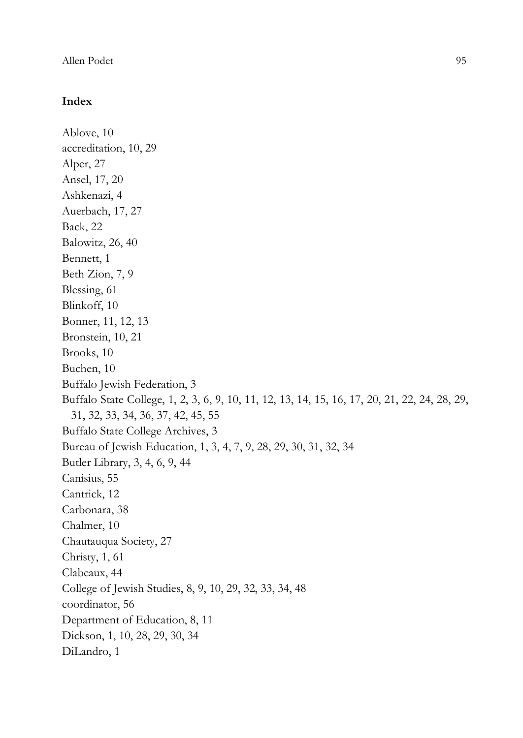#### Allen Podet 95

## Index

```
Ablove, 10 
accreditation, 10, 29 
Alper, 27 
Ansel, 17, 20 
Ashkenazi, 4 
Auerbach, 17, 27 
Back, 22 
Balowitz, 26, 40 
Bennett, 1 
Beth Zion, 7, 9 
Blessing, 61 
Blinkoff, 10 
Bonner, 11, 12, 13 
Bronstein, 10, 21 
Brooks, 10 
Buchen, 10 
Buffalo Jewish Federation, 3 
Buffalo State College, 1, 2, 3, 6, 9, 10, 11, 12, 13, 14, 15, 16, 17, 20, 21, 22, 24, 28, 29, 
  31, 32, 33, 34, 36, 37, 42, 45, 55 
Buffalo State College Archives, 3 
Bureau of Jewish Education, 1, 3, 4, 7, 9, 28, 29, 30, 31, 32, 34 
Butler Library, 3, 4, 6, 9, 44 
Canisius, 55 
Cantrick, 12 
Carbonara, 38 
Chalmer, 10 
Chautauqua Society, 27 
Christy, 1, 61 
Clabeaux, 44 
College of Jewish Studies, 8, 9, 10, 29, 32, 33, 34, 48 
coordinator, 56 
Department of Education, 8, 11 
Dickson, 1, 10, 28, 29, 30, 34 
DiLandro, 1
```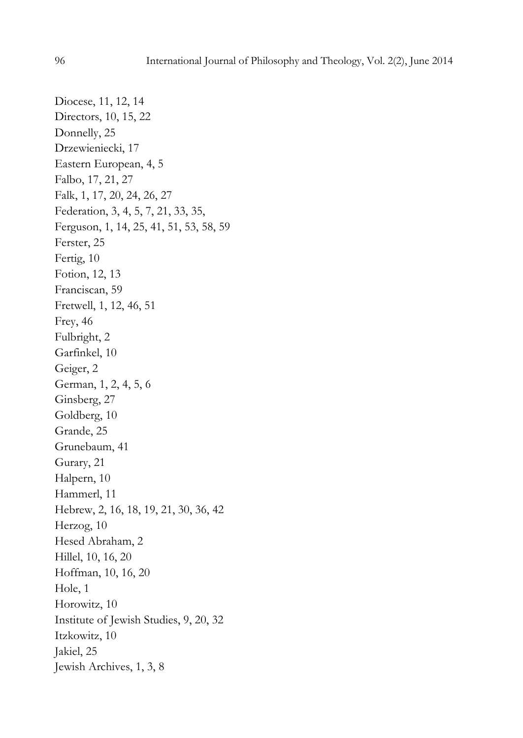Diocese, 11, 12, 14 Directors, 10, 15, 22 Donnelly, 25 Drzewieniecki, 17 Eastern European, 4, 5 Falbo, 17, 21, 27 Falk, 1, 17, 20, 24, 26, 27 Federation, 3, 4, 5, 7, 21, 33, 35, Ferguson, 1, 14, 25, 41, 51, 53, 58, 59 Ferster, 25 Fertig, 10 Fotion, 12, 13 Franciscan, 59 Fretwell, 1, 12, 46, 51 Frey, 46 Fulbright, 2 Garfinkel, 10 Geiger, 2 German, 1, 2, 4, 5, 6 Ginsberg, 27 Goldberg, 10 Grande, 25 Grunebaum, 41 Gurary, 21 Halpern, 10 Hammerl, 11 Hebrew, 2, 16, 18, 19, 21, 30, 36, 42 Herzog, 10 Hesed Abraham, 2 Hillel, 10, 16, 20 Hoffman, 10, 16, 20 Hole, 1 Horowitz, 10 Institute of Jewish Studies, 9, 20, 32 Itzkowitz, 10 Jakiel, 25 Jewish Archives, 1, 3, 8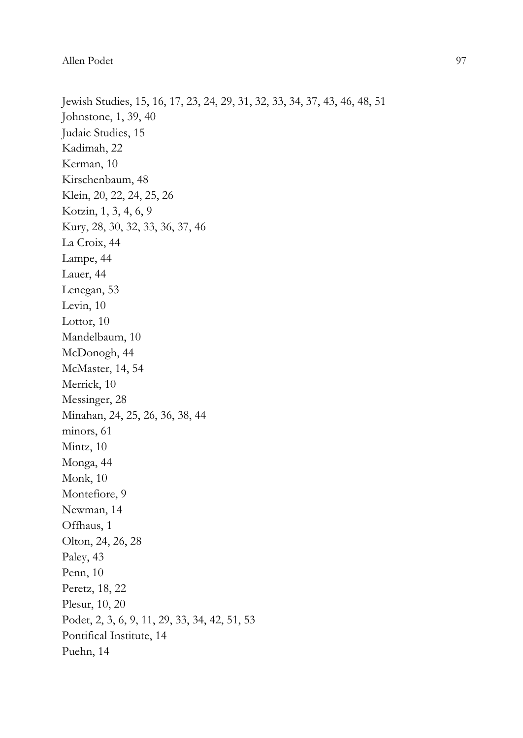Allen Podet 97

Jewish Studies, 15, 16, 17, 23, 24, 29, 31, 32, 33, 34, 37, 43, 46, 48, 51 Johnstone, 1, 39, 40 Judaic Studies, 15 Kadimah, 22 Kerman, 10 Kirschenbaum, 48 Klein, 20, 22, 24, 25, 26 Kotzin, 1, 3, 4, 6, 9 Kury, 28, 30, 32, 33, 36, 37, 46 La Croix, 44 Lampe, 44 Lauer, 44 Lenegan, 53 Levin, 10 Lottor, 10 Mandelbaum, 10 McDonogh, 44 McMaster, 14, 54 Merrick, 10 Messinger, 28 Minahan, 24, 25, 26, 36, 38, 44 minors, 61 Mintz, 10 Monga, 44 Monk, 10 Montefiore, 9 Newman, 14 Offhaus, 1 Olton, 24, 26, 28 Paley, 43 Penn, 10 Peretz, 18, 22 Plesur, 10, 20 Podet, 2, 3, 6, 9, 11, 29, 33, 34, 42, 51, 53 Pontifical Institute, 14 Puehn, 14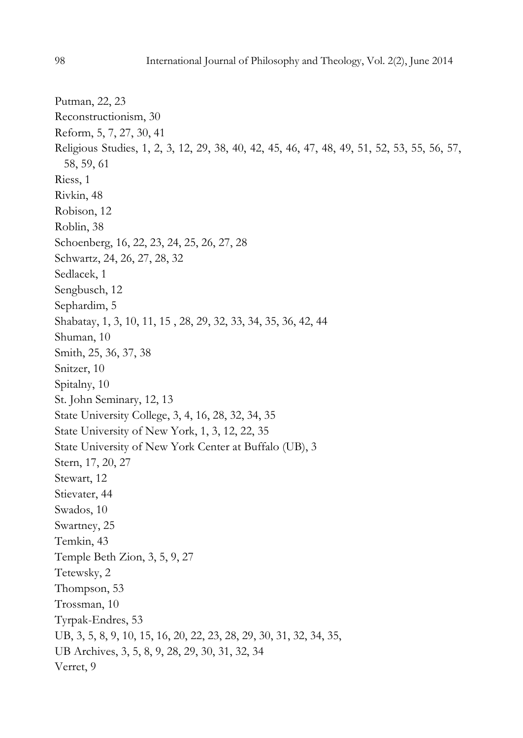Putman, 22, 23 Reconstructionism, 30 Reform, 5, 7, 27, 30, 41 Religious Studies, 1, 2, 3, 12, 29, 38, 40, 42, 45, 46, 47, 48, 49, 51, 52, 53, 55, 56, 57, 58, 59, 61 Riess, 1 Rivkin, 48 Robison, 12 Roblin, 38 Schoenberg, 16, 22, 23, 24, 25, 26, 27, 28 Schwartz, 24, 26, 27, 28, 32 Sedlacek, 1 Sengbusch, 12 Sephardim, 5 Shabatay, 1, 3, 10, 11, 15 , 28, 29, 32, 33, 34, 35, 36, 42, 44 Shuman, 10 Smith, 25, 36, 37, 38 Snitzer, 10 Spitalny, 10 St. John Seminary, 12, 13 State University College, 3, 4, 16, 28, 32, 34, 35 State University of New York, 1, 3, 12, 22, 35 State University of New York Center at Buffalo (UB), 3 Stern, 17, 20, 27 Stewart, 12 Stievater, 44 Swados, 10 Swartney, 25 Temkin, 43 Temple Beth Zion, 3, 5, 9, 27 Tetewsky, 2 Thompson, 53 Trossman, 10 Tyrpak-Endres, 53 UB, 3, 5, 8, 9, 10, 15, 16, 20, 22, 23, 28, 29, 30, 31, 32, 34, 35, UB Archives, 3, 5, 8, 9, 28, 29, 30, 31, 32, 34 Verret, 9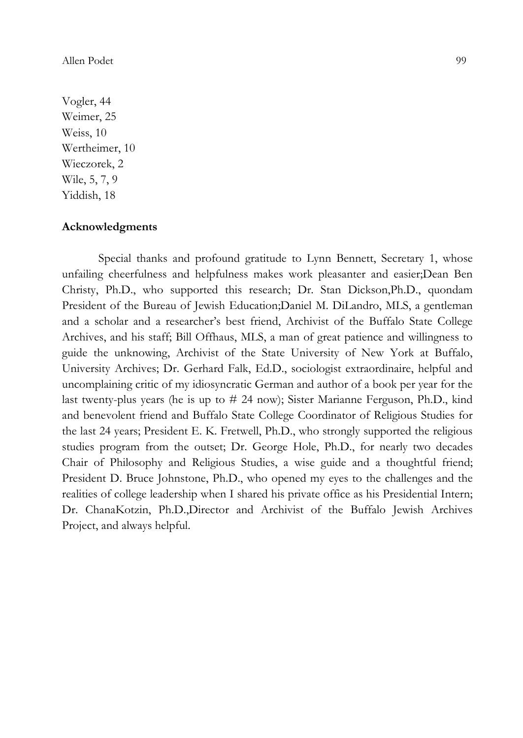#### Allen Podet 99

Vogler, 44 Weimer, 25 Weiss, 10 Wertheimer, 10 Wieczorek, 2 Wile, 5, 7, 9 Yiddish, 18

#### Acknowledgments

Special thanks and profound gratitude to Lynn Bennett, Secretary 1, whose unfailing cheerfulness and helpfulness makes work pleasanter and easier;Dean Ben Christy, Ph.D., who supported this research; Dr. Stan Dickson,Ph.D., quondam President of the Bureau of Jewish Education;Daniel M. DiLandro, MLS, a gentleman and a scholar and a researcher's best friend, Archivist of the Buffalo State College Archives, and his staff; Bill Offhaus, MLS, a man of great patience and willingness to guide the unknowing, Archivist of the State University of New York at Buffalo, University Archives; Dr. Gerhard Falk, Ed.D., sociologist extraordinaire, helpful and uncomplaining critic of my idiosyncratic German and author of a book per year for the last twenty-plus years (he is up to # 24 now); Sister Marianne Ferguson, Ph.D., kind and benevolent friend and Buffalo State College Coordinator of Religious Studies for the last 24 years; President E. K. Fretwell, Ph.D., who strongly supported the religious studies program from the outset; Dr. George Hole, Ph.D., for nearly two decades Chair of Philosophy and Religious Studies, a wise guide and a thoughtful friend; President D. Bruce Johnstone, Ph.D., who opened my eyes to the challenges and the realities of college leadership when I shared his private office as his Presidential Intern; Dr. ChanaKotzin, Ph.D.,Director and Archivist of the Buffalo Jewish Archives Project, and always helpful.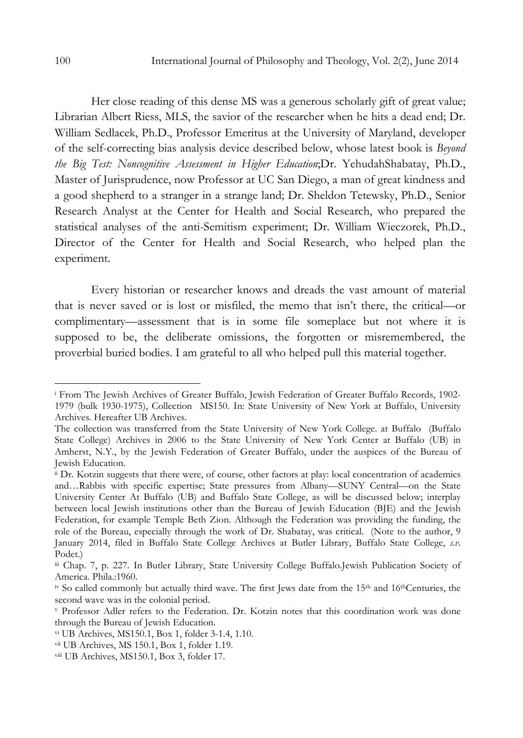Her close reading of this dense MS was a generous scholarly gift of great value; Librarian Albert Riess, MLS, the savior of the researcher when he hits a dead end; Dr. William Sedlacek, Ph.D., Professor Emeritus at the University of Maryland, developer of the self-correcting bias analysis device described below, whose latest book is Beyond the Big Test: Noncognitive Assessment in Higher Education;Dr. YehudahShabatay, Ph.D., Master of Jurisprudence, now Professor at UC San Diego, a man of great kindness and a good shepherd to a stranger in a strange land; Dr. Sheldon Tetewsky, Ph.D., Senior Research Analyst at the Center for Health and Social Research, who prepared the statistical analyses of the anti-Semitism experiment; Dr. William Wieczorek, Ph.D., Director of the Center for Health and Social Research, who helped plan the experiment.

Every historian or researcher knows and dreads the vast amount of material that is never saved or is lost or misfiled, the memo that isn't there, the critical—or complimentary—assessment that is in some file someplace but not where it is supposed to be, the deliberate omissions, the forgotten or misremembered, the proverbial buried bodies. I am grateful to all who helped pull this material together.

 $\overline{a}$ 

i From The Jewish Archives of Greater Buffalo, Jewish Federation of Greater Buffalo Records, 1902- 1979 (bulk 1930-1975), Collection MS150. In: State University of New York at Buffalo, University Archives. Hereafter UB Archives.

The collection was transferred from the State University of New York College. at Buffalo (Buffalo State College) Archives in 2006 to the State University of New York Center at Buffalo (UB) in Amherst, N.Y., by the Jewish Federation of Greater Buffalo, under the auspices of the Bureau of Jewish Education.

ii Dr. Kotzin suggests that there were, of course, other factors at play: local concentration of academics and…Rabbis with specific expertise; State pressures from Albany—SUNY Central—on the State University Center At Buffalo (UB) and Buffalo State College, as will be discussed below; interplay between local Jewish institutions other than the Bureau of Jewish Education (BJE) and the Jewish Federation, for example Temple Beth Zion. Although the Federation was providing the funding, the role of the Bureau, especially through the work of Dr. Shabatay, was critical. (Note to the author, 9 January 2014, filed in Buffalo State College Archives at Butler Library, Buffalo State College, s.v. Podet.)

iii Chap. 7, p. 227. In Butler Library, State University College Buffalo.Jewish Publication Society of America. Phila.:1960.

iv So called commonly but actually third wave. The first Jews date from the 15th and 16thCenturies, the second wave was in the colonial period.

v Professor Adler refers to the Federation. Dr. Kotzin notes that this coordination work was done through the Bureau of Jewish Education.

vi UB Archives, MS150.1, Box 1, folder 3-1.4, 1.10.

vii UB Archives, MS 150.1, Box 1, folder 1.19.

viii UB Archives, MS150.1, Box 3, folder 17.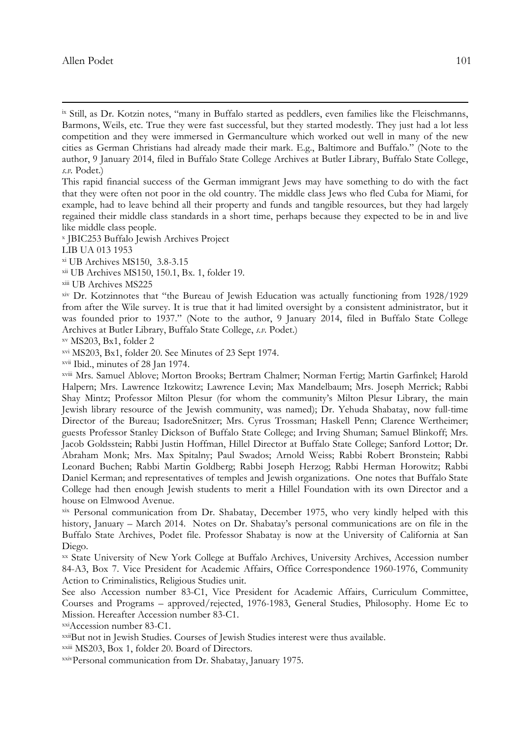$\overline{a}$ 

This rapid financial success of the German immigrant Jews may have something to do with the fact that they were often not poor in the old country. The middle class Jews who fled Cuba for Miami, for example, had to leave behind all their property and funds and tangible resources, but they had largely regained their middle class standards in a short time, perhaps because they expected to be in and live like middle class people.

x JBIC253 Buffalo Jewish Archives Project

LIB UA 013 1953

xi UB Archives MS150, 3.8-3.15

xii UB Archives MS150, 150.1, Bx. 1, folder 19.

xiii UB Archives MS225

xiv Dr. Kotzinnotes that "the Bureau of Jewish Education was actually functioning from 1928/1929 from after the Wile survey. It is true that it had limited oversight by a consistent administrator, but it was founded prior to 1937." (Note to the author, 9 January 2014, filed in Buffalo State College Archives at Butler Library, Buffalo State College, s.v. Podet.)

xv MS203, Bx1, folder 2

xvi MS203, Bx1, folder 20. See Minutes of 23 Sept 1974.

xvii Ibid., minutes of 28 Jan 1974.

xviii Mrs. Samuel Ablove; Morton Brooks; Bertram Chalmer; Norman Fertig; Martin Garfinkel; Harold Halpern; Mrs. Lawrence Itzkowitz; Lawrence Levin; Max Mandelbaum; Mrs. Joseph Merrick; Rabbi Shay Mintz; Professor Milton Plesur (for whom the community's Milton Plesur Library, the main Jewish library resource of the Jewish community, was named); Dr. Yehuda Shabatay, now full-time Director of the Bureau; IsadoreSnitzer; Mrs. Cyrus Trossman; Haskell Penn; Clarence Wertheimer; guests Professor Stanley Dickson of Buffalo State College; and Irving Shuman; Samuel Blinkoff; Mrs. Jacob Goldsstein; Rabbi Justin Hoffman, Hillel Director at Buffalo State College; Sanford Lottor; Dr. Abraham Monk; Mrs. Max Spitalny; Paul Swados; Arnold Weiss; Rabbi Robert Bronstein; Rabbi Leonard Buchen; Rabbi Martin Goldberg; Rabbi Joseph Herzog; Rabbi Herman Horowitz; Rabbi Daniel Kerman; and representatives of temples and Jewish organizations. One notes that Buffalo State College had then enough Jewish students to merit a Hillel Foundation with its own Director and a house on Elmwood Avenue.

xix Personal communication from Dr. Shabatay, December 1975, who very kindly helped with this history, January – March 2014. Notes on Dr. Shabatay's personal communications are on file in the Buffalo State Archives, Podet file. Professor Shabatay is now at the University of California at San Diego.

xx State University of New York College at Buffalo Archives, University Archives, Accession number 84-A3, Box 7. Vice President for Academic Affairs, Office Correspondence 1960-1976, Community Action to Criminalistics, Religious Studies unit.

See also Accession number 83-C1, Vice President for Academic Affairs, Curriculum Committee, Courses and Programs – approved/rejected, 1976-1983, General Studies, Philosophy. Home Ec to Mission. Hereafter Accession number 83-C1.

xxiAccession number 83-C1.

xxiiBut not in Jewish Studies. Courses of Jewish Studies interest were thus available.

xxiii MS203, Box 1, folder 20. Board of Directors.

xxivPersonal communication from Dr. Shabatay, January 1975.

Allen Podet 101

ix Still, as Dr. Kotzin notes, "many in Buffalo started as peddlers, even families like the Fleischmanns, Barmons, Weils, etc. True they were fast successful, but they started modestly. They just had a lot less competition and they were immersed in Germanculture which worked out well in many of the new cities as German Christians had already made their mark. E.g., Baltimore and Buffalo." (Note to the author, 9 January 2014, filed in Buffalo State College Archives at Butler Library, Buffalo State College, s.v. Podet.)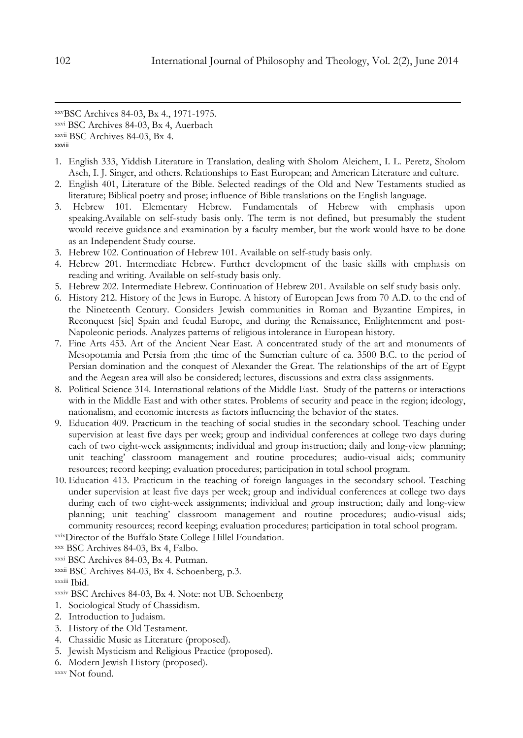xxvBSC Archives 84-03, Bx 4., 1971-1975.

xxvi BSC Archives 84-03, Bx 4, Auerbach

xxviii

- 1. English 333, Yiddish Literature in Translation, dealing with Sholom Aleichem, I. L. Peretz, Sholom Asch, I. J. Singer, and others. Relationships to East European; and American Literature and culture.
- 2. English 401, Literature of the Bible. Selected readings of the Old and New Testaments studied as literature; Biblical poetry and prose; influence of Bible translations on the English language.
- 3. Hebrew 101. Elementary Hebrew. Fundamentals of Hebrew with emphasis upon speaking.Available on self-study basis only. The term is not defined, but presumably the student would receive guidance and examination by a faculty member, but the work would have to be done as an Independent Study course.
- 3. Hebrew 102. Continuation of Hebrew 101. Available on self-study basis only.
- 4. Hebrew 201. Intermediate Hebrew. Further development of the basic skills with emphasis on reading and writing. Available on self-study basis only.
- 5. Hebrew 202. Intermediate Hebrew. Continuation of Hebrew 201. Available on self study basis only.
- 6. History 212. History of the Jews in Europe. A history of European Jews from 70 A.D. to the end of the Nineteenth Century. Considers Jewish communities in Roman and Byzantine Empires, in Reconquest [sic] Spain and feudal Europe, and during the Renaissance, Enlightenment and post-Napoleonic periods. Analyzes patterns of religious intolerance in European history.
- 7. Fine Arts 453. Art of the Ancient Near East. A concentrated study of the art and monuments of Mesopotamia and Persia from ;the time of the Sumerian culture of ca. 3500 B.C. to the period of Persian domination and the conquest of Alexander the Great. The relationships of the art of Egypt and the Aegean area will also be considered; lectures, discussions and extra class assignments.
- 8. Political Science 314. International relations of the Middle East. Study of the patterns or interactions with in the Middle East and with other states. Problems of security and peace in the region; ideology, nationalism, and economic interests as factors influencing the behavior of the states.
- 9. Education 409. Practicum in the teaching of social studies in the secondary school. Teaching under supervision at least five days per week; group and individual conferences at college two days during each of two eight-week assignments; individual and group instruction; daily and long-view planning; unit teaching' classroom management and routine procedures; audio-visual aids; community resources; record keeping; evaluation procedures; participation in total school program.
- 10. Education 413. Practicum in the teaching of foreign languages in the secondary school. Teaching under supervision at least five days per week; group and individual conferences at college two days during each of two eight-week assignments; individual and group instruction; daily and long-view planning; unit teaching' classroom management and routine procedures; audio-visual aids; community resources; record keeping; evaluation procedures; participation in total school program.

xxixDirector of the Buffalo State College Hillel Foundation.

- xxxi BSC Archives 84-03, Bx 4. Putman.
- xxxii BSC Archives 84-03, Bx 4. Schoenberg, p.3.

xxxiii Ibid.

- xxxiv BSC Archives 84-03, Bx 4. Note: not UB. Schoenberg
- 1. Sociological Study of Chassidism.
- 2. Introduction to Judaism.
- 3. History of the Old Testament.
- 4. Chassidic Music as Literature (proposed).
- 5. Jewish Mysticism and Religious Practice (proposed).
- 6. Modern Jewish History (proposed).

 $\overline{a}$ 

xxvii BSC Archives 84-03, Bx 4.

xxx BSC Archives 84-03, Bx 4, Falbo.

xxxv Not found.